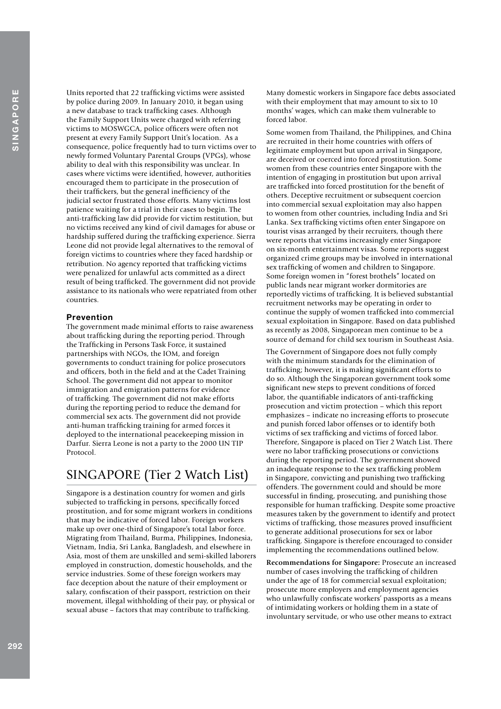Units reported that 22 trafficking victims were assisted by police during 2009. In January 2010, it began using a new database to track trafficking cases. Although the Family Support Units were charged with referring victims to MOSWGCA, police officers were often not present at every Family Support Unit's location. As a consequence, police frequently had to turn victims over to newly formed Voluntary Parental Groups (VPGs), whose ability to deal with this responsibility was unclear. In cases where victims were identified, however, authorities encouraged them to participate in the prosecution of their traffickers, but the general inefficiency of the judicial sector frustrated those efforts. Many victims lost patience waiting for a trial in their cases to begin. The anti-trafficking law did provide for victim restitution, but no victims received any kind of civil damages for abuse or hardship suffered during the trafficking experience. Sierra Leone did not provide legal alternatives to the removal of foreign victims to countries where they faced hardship or retribution. No agency reported that trafficking victims were penalized for unlawful acts committed as a direct result of being trafficked. The government did not provide assistance to its nationals who were repatriated from other countries.

## **Prevention**

The government made minimal efforts to raise awareness about trafficking during the reporting period. Through the Trafficking in Persons Task Force, it sustained partnerships with NGOs, the IOM, and foreign governments to conduct training for police prosecutors and officers, both in the field and at the Cadet Training School. The government did not appear to monitor immigration and emigration patterns for evidence of trafficking. The government did not make efforts during the reporting period to reduce the demand for commercial sex acts. The government did not provide anti-human trafficking training for armed forces it deployed to the international peacekeeping mission in Darfur. Sierra Leone is not a party to the 2000 UN TIP Protocol.

# SINGAPORE (Tier 2 Watch List)

Singapore is a destination country for women and girls subjected to trafficking in persons, specifically forced prostitution, and for some migrant workers in conditions that may be indicative of forced labor. Foreign workers make up over one-third of Singapore's total labor force. Migrating from Thailand, Burma, Philippines, Indonesia, Vietnam, India, Sri Lanka, Bangladesh, and elsewhere in Asia, most of them are unskilled and semi-skilled laborers employed in construction, domestic households, and the service industries. Some of these foreign workers may face deception about the nature of their employment or salary, confiscation of their passport, restriction on their movement, illegal withholding of their pay, or physical or sexual abuse – factors that may contribute to trafficking.

Many domestic workers in Singapore face debts associated with their employment that may amount to six to 10 months' wages, which can make them vulnerable to forced labor.

Some women from Thailand, the Philippines, and China are recruited in their home countries with offers of legitimate employment but upon arrival in Singapore, are deceived or coerced into forced prostitution. Some women from these countries enter Singapore with the intention of engaging in prostitution but upon arrival are trafficked into forced prostitution for the benefit of others. Deceptive recruitment or subsequent coercion into commercial sexual exploitation may also happen to women from other countries, including India and Sri Lanka. Sex trafficking victims often enter Singapore on tourist visas arranged by their recruiters, though there were reports that victims increasingly enter Singapore on six-month entertainment visas. Some reports suggest organized crime groups may be involved in international sex trafficking of women and children to Singapore. Some foreign women in "forest brothels" located on public lands near migrant worker dormitories are reportedly victims of trafficking. It is believed substantial recruitment networks may be operating in order to continue the supply of women trafficked into commercial sexual exploitation in Singapore. Based on data published as recently as 2008, Singaporean men continue to be a source of demand for child sex tourism in Southeast Asia.

The Government of Singapore does not fully comply with the minimum standards for the elimination of trafficking; however, it is making significant efforts to do so. Although the Singaporean government took some significant new steps to prevent conditions of forced labor, the quantifiable indicators of anti-trafficking prosecution and victim protection – which this report emphasizes – indicate no increasing efforts to prosecute and punish forced labor offenses or to identify both victims of sex trafficking and victims of forced labor. Therefore, Singapore is placed on Tier 2 Watch List. There were no labor trafficking prosecutions or convictions during the reporting period. The government showed an inadequate response to the sex trafficking problem in Singapore, convicting and punishing two trafficking offenders. The government could and should be more successful in finding, prosecuting, and punishing those responsible for human trafficking. Despite some proactive measures taken by the government to identify and protect victims of trafficking, those measures proved insufficient to generate additional prosecutions for sex or labor trafficking. Singapore is therefore encouraged to consider implementing the recommendations outlined below.

**Recommendations for Singapore:** Prosecute an increased number of cases involving the trafficking of children under the age of 18 for commercial sexual exploitation; prosecute more employers and employment agencies who unlawfully confiscate workers' passports as a means of intimidating workers or holding them in a state of involuntary servitude, or who use other means to extract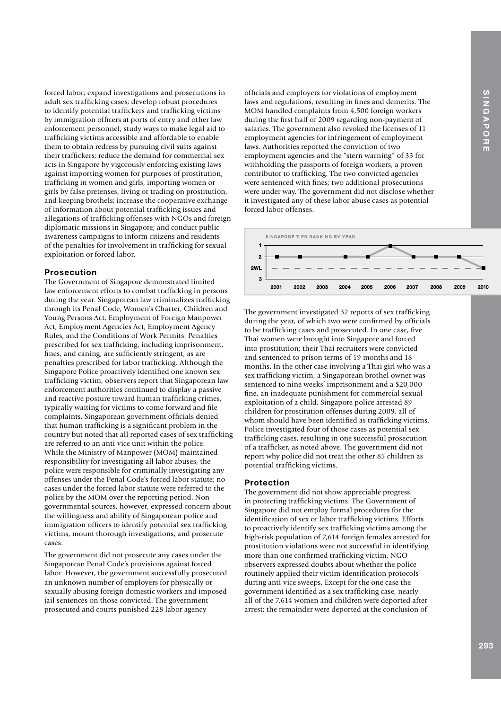forced labor; expand investigations and prosecutions in adult sex trafficking cases; develop robust procedures to identify potential traffickers and trafficking victims by immigration officers at ports of entry and other law enforcement personnel; study ways to make legal aid to trafficking victims accessible and affordable to enable them to obtain redress by pursuing civil suits against their traffickers; reduce the demand for commercial sex acts in Singapore by vigorously enforcing existing laws against importing women for purposes of prostitution, trafficking in women and girls, importing women or girls by false pretenses, living or trading on prostitution, and keeping brothels; increase the cooperative exchange of information about potential trafficking issues and allegations of trafficking offenses with NGOs and foreign diplomatic missions in Singapore; and conduct public awareness campaigns to inform citizens and residents of the penalties for involvement in trafficking for sexual exploitation or forced labor.

### **Prosecution**

The Government of Singapore demonstrated limited law enforcement efforts to combat trafficking in persons during the year. Singaporean law criminalizes trafficking through its Penal Code, Women's Charter, Children and Young Persons Act, Employment of Foreign Manpower Act, Employment Agencies Act, Employment Agency Rules, and the Conditions of Work Permits. Penalties prescribed for sex trafficking, including imprisonment, fines, and caning, are sufficiently stringent, as are penalties prescribed for labor trafficking. Although the Singapore Police proactively identified one known sex trafficking victim, observers report that Singaporean law enforcement authorities continued to display a passive and reactive posture toward human trafficking crimes, typically waiting for victims to come forward and file complaints. Singaporean government officials denied that human trafficking is a significant problem in the country but noted that all reported cases of sex trafficking are referred to an anti-vice unit within the police. While the Ministry of Manpower (MOM) maintained responsibility for investigating all labor abuses, the police were responsible for criminally investigating any offenses under the Penal Code's forced labor statute; no cases under the forced labor statute were referred to the police by the MOM over the reporting period. Nongovernmental sources, however, expressed concern about the willingness and ability of Singaporean police and immigration officers to identify potential sex trafficking victims, mount thorough investigations, and prosecute cases.

The government did not prosecute any cases under the Singaporean Penal Code's provisions against forced labor. However, the government successfully prosecuted an unknown number of employers for physically or sexually abusing foreign domestic workers and imposed jail sentences on those convicted. The government prosecuted and courts punished 228 labor agency

officials and employers for violations of employment laws and regulations, resulting in fines and demerits. The MOM handled complaints from 4,500 foreign workers during the first half of 2009 regarding non-payment of salaries. The government also revoked the licenses of 11 employment agencies for infringement of employment laws. Authorities reported the conviction of two employment agencies and the "stern warning" of 33 for withholding the passports of foreign workers, a proven contributor to trafficking. The two convicted agencies were sentenced with fines; two additional prosecutions were under way. The government did not disclose whether it investigated any of these labor abuse cases as potential forced labor offenses.



The government investigated 32 reports of sex trafficking during the year, of which two were confirmed by officials to be trafficking cases and prosecuted. In one case, five Thai women were brought into Singapore and forced into prostitution; their Thai recruiters were convicted and sentenced to prison terms of 19 months and 18 months. In the other case involving a Thai girl who was a sex trafficking victim, a Singaporean brothel owner was sentenced to nine weeks' imprisonment and a \$20,000 fine, an inadequate punishment for commercial sexual exploitation of a child. Singapore police arrested 89 children for prostitution offenses during 2009, all of whom should have been identified as trafficking victims. Police investigated four of those cases as potential sex trafficking cases, resulting in one successful prosecution of a trafficker, as noted above. The government did not report why police did not treat the other 85 children as potential trafficking victims.

#### **Protection**

The government did not show appreciable progress in protecting trafficking victims. The Government of Singapore did not employ formal procedures for the identification of sex or labor trafficking victims. Efforts to proactively identify sex trafficking victims among the high-risk population of 7,614 foreign females arrested for prostitution violations were not successful in identifying more than one confirmed trafficking victim. NGO observers expressed doubts about whether the police routinely applied their victim identification protocols during anti-vice sweeps. Except for the one case the government identified as a sex trafficking case, nearly all of the 7,614 women and children were deported after arrest; the remainder were deported at the conclusion of